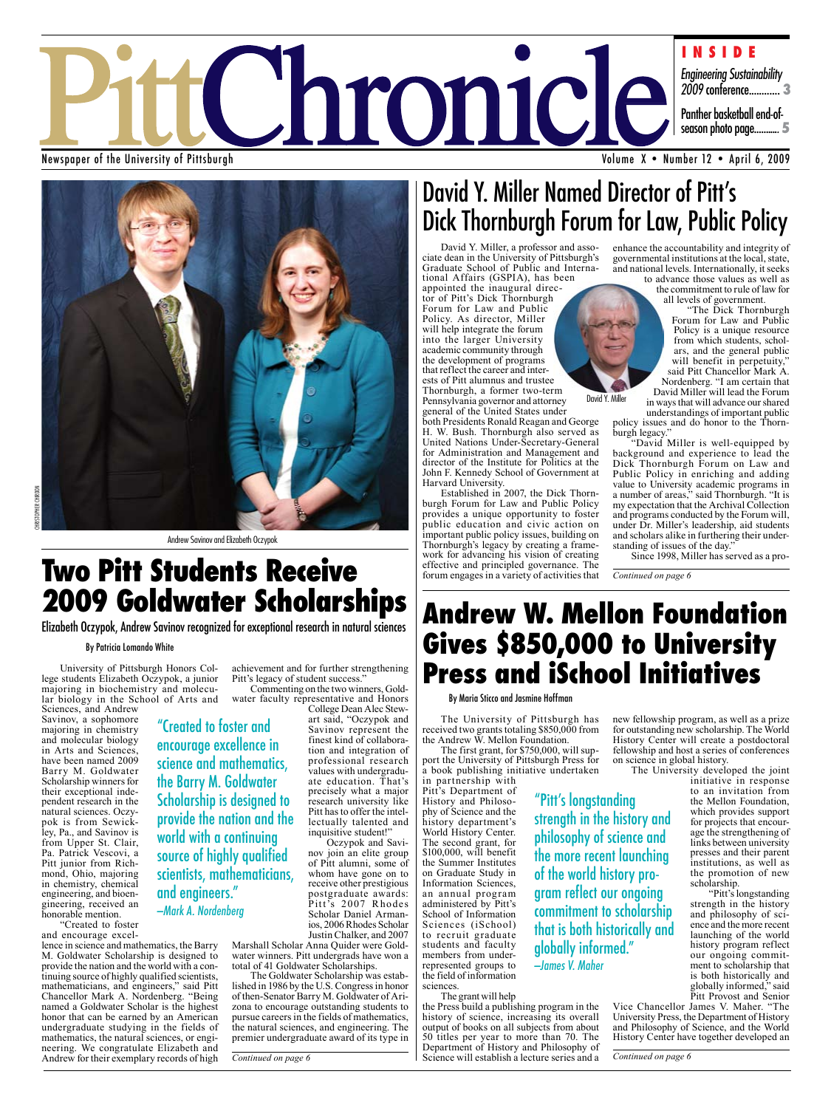

Newspaper of the University of Pittsburgh



Andrew Savinov and Elizabeth Oczypok

## **Two Pitt Students Receive 2009 Goldwater Scholarships**

Elizabeth Oczypok, Andrew Savinov recognized for exceptional research in natural sciences

"Created to foster and encourage excellence in science and mathematics, the Barry M. Goldwater Scholarship is designed to provide the nation and the

world with a continuing source of highly qualified scientists, mathematicians,

and engineers." —Mark A. Nordenberg

#### By Patricia Lomando White

University of Pittsburgh Honors College students Elizabeth Oczypok, a junior majoring in biochemistry and molecular biology in the School of Arts and Sciences, and Andrew

Savinov, a sophomore majoring in chemistry and molecular biology in Arts and Sciences, have been named 2009 Barry M. Goldwater Scholarship winners for their exceptional independent research in the natural sciences. Oczypok is from Sewickley, Pa., and Savinov is from Upper St. Clair, Pa. Patrick Vescovi, a Pitt junior from Richmond, Ohio, majoring in chemistry, chemical engineering, and bioengineering, received an honorable mention.

"Created to foster and encourage excel-

lence in science and mathematics, the Barry M. Goldwater Scholarship is designed to provide the nation and the world with a continuing source of highly qualified scientists, mathematicians, and engineers," said Pitt Chancellor Mark A. Nordenberg. "Being named a Goldwater Scholar is the highest honor that can be earned by an American undergraduate studying in the fields of mathematics, the natural sciences, or engineering. We congratulate Elizabeth and Andrew for their exemplary records of high

achievement and for further strengthening Pitt's legacy of student success." Commenting on the two winners, Gold-

water faculty representative and Honors College Dean Alec Stew-

art said, "Oczypok and Savinov represent the finest kind of collaboration and integration of professional research values with undergraduate education. That's precisely what a major research university like Pitt has to offer the intellectually talented and inquisitive student!"

Oczypok and Savinov join an elite group of Pitt alumni, some of whom have gone on to receive other prestigious postgraduate awards: Pitt's 2007 Rhodes Scholar Daniel Armanios, 2006 Rhodes Scholar Justin Chalker, and 2007

Marshall Scholar Anna Quider were Goldwater winners. Pitt undergrads have won a total of 41 Goldwater Scholarships.

The Goldwater Scholarship was established in 1986 by the U.S. Congress in honor of then-Senator Barry M. Goldwater of Arizona to encourage outstanding students to pursue careers in the fields of mathematics, the natural sciences, and engineering. The premier undergraduate award of its type in

*Continued on page 6*

## David Y. Miller Named Director of Pitt's Dick Thornburgh Forum for Law, Public Policy

David Y. Miller, a professor and asso-<br>ciate dean in the University of Pittsburgh's<br>Graduate School of Public and International Affairs (GSPIA), has been<br>appointed the inaugural direc-

tor of Pitt's Dick Thornburgh Forum for Law and Public Policy. As director, Miller will help integrate the forum into the larger University academic community through the development of programs<br>that reflect the career and interests of Pitt alumnus and trustee Thornburgh, a former two-term

Pennsylvania governor and attorney general of the United States under

both Presidents Ronald Reagan and George H. W. Bush. Thornburgh also served as United Nations Under-Secretary-General for Administration and Management and director of the Institute for Politics at the John F. Kennedy School of Government at Harvard University.

Established in 2007, the Dick Thornburgh Forum for Law and Public Policy provides a unique opportunity to foster public education and civic action on important public policy issues, building on Thornburgh's legacy by creating a framework for advancing his vision of creating effective and principled governance. The forum engages in a variety of activities that

enhance the accountability and integrity of governmental institutions at the local, state,

and national levels. Internationally, it seeks to advance those values as well as the commitment to rule of law for

all levels of government. "The Dick Thornburgh Forum for Law and Public Policy is a unique resource from which students, scholars, and the general public will benefit in perpetuity," said Pitt Chancellor Mark A. Nordenberg. "I am certain that David Miller will lead the Forum

David Y. Miller in ways that will advance our shared understandings of important public policy issues and do honor to the Thornburgh legacy."

"David Miller is well-equipped by background and experience to lead the Dick Thornburgh Forum on Law and Public Policy in enriching and adding value to University academic programs in a number of areas," said Thornburgh. "It is my expectation that the Archival Collection and programs conducted by the Forum will, under Dr. Miller's leadership, aid students and scholars alike in furthering their understanding of issues of the day."

Since 1998, Miller has served as a pro-

*Continued on page 6*

## **Andrew W. Mellon Foundation Gives \$850,000 to University Press and iSchool Initiatives**

"Pitt's longstanding

globally informed."

—James V. Maher

strength in the history and philosophy of science and the more recent launching of the world history program reflect our ongoing commitment to scholarship that is both historically and

#### By Maria Sticco and Jasmine Hoffman

The University of Pittsburgh has received two grants totaling \$850,000 from the Andrew W. Mellon Foundation.<br>The first grant, for \$750,000, will sup-

port the University of Pittsburgh Press for a book publishing initiative undertaken in partnership with

Pitt's Department of History and Philosophy of Science and the history department's World History Center. The second grant, for \$100,000, will benefit the Summer Institutes on Graduate Study in Information Sciences, an annual program administered by Pitt's School of Information Sciences (iSchool) to recruit graduate students and faculty members from under-<br>represented groups to the field of information sciences.

The grant will help

the Press build a publishing program in the history of science, increasing its overall output of books on all subjects from about 50 titles per year to more than 70. The Department of History and Philosophy of Science will establish a lecture series and a new fellowship program, as well as a prize for outstanding new scholarship. The World History Center will create a postdoctoral fellowship and host a series of conferences on science in global history.

The University developed the joint initiative in response to an invitation from the Mellon Foundation, which provides support<br>for projects that encourage the strengthening of links between university presses and their parent institutions, as well as the promotion of new scholarship.

"Pitt's longstanding strength in the history and philosophy of sci- ence and the more recent launching of the world history program reflect our ongoing commitment to scholarship that is both historically and globally informed," said Pitt Provost and Senior

Vice Chancellor James V. Maher. "The University Press, the Department of History and Philosophy of Science, and the World History Center have together developed an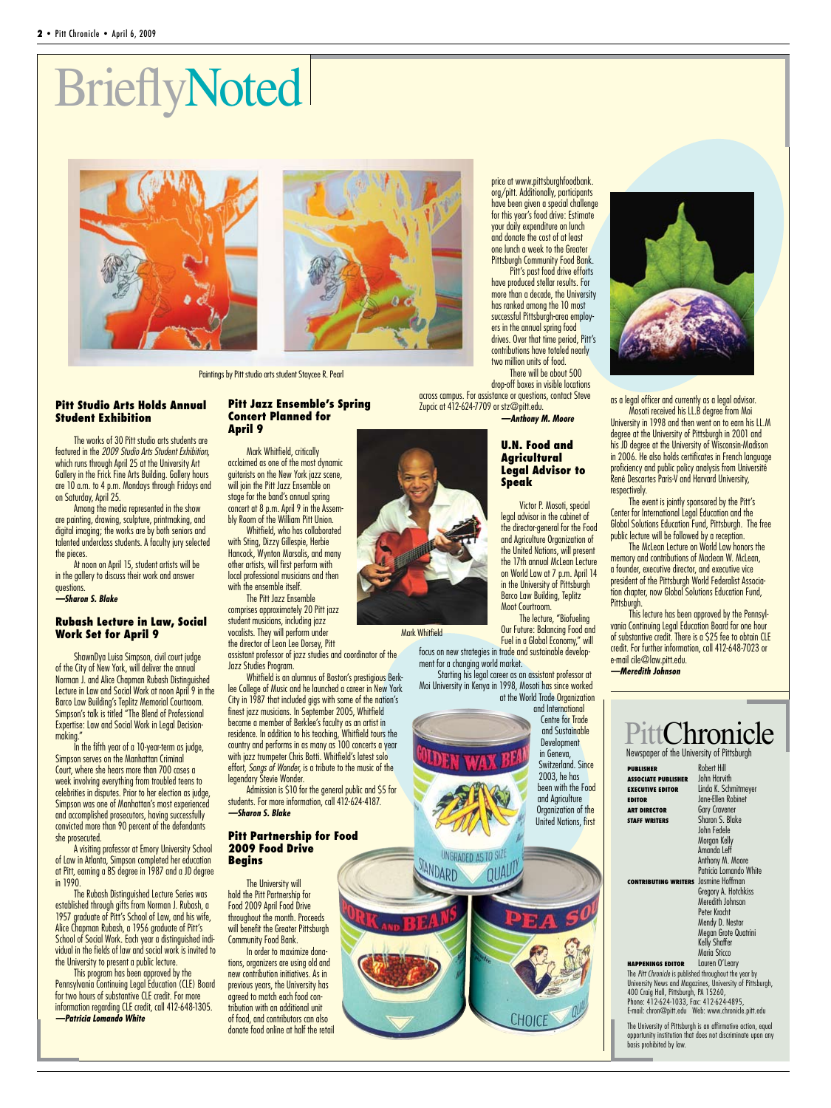## **BrieflyNoted**





Paintings by Pitt studio arts student Staycee R. Pearl

#### **Pitt Studio Arts Holds Annual Student Exhibition**

The works of 30 Pitt studio arts students are featured in the *2009 Studio Arts Student Exhibition,*  which runs through April 25 at the University Art Gallery in the Frick Fine Arts Building. Gallery hours are 10 a.m. to 4 p.m. Mondays through Fridays and on Saturday, April 25.

Among the media represented in the show are painting, drawing, sculpture, printmaking, and digital imaging; the works are by both seniors and talented underclass students. A faculty jury selected the pieces.

At noon on April 15, student artists will be in the gallery to discuss their work and answer questions.

*—Sharon S. Blake*

#### **Rubash Lecture in Law, Social Work Set for April 9**

ShawnDya Luisa Simpson, civil court judge of the City of New York, will deliver the annual Norman J. and Alice Chapman Rubash Distinguished Lecture in Law and Social Work at noon April 9 in the Barco Law Building's Teplitz Memorial Courtroom. Simpson's talk is titled "The Blend of Professional Expertise: Law and Social Work in Legal Decisionmaking."

In the fifth year of a 10-year-term as judge, Simpson serves on the Manhattan Criminal Court, where she hears more than 700 cases a week involving everything from troubled teens to celebrities in disputes. Prior to her election as judge, Simpson was one of Manhattan's most experienced and accomplished prosecutors, having successfully convicted more than 90 percent of the defendants she prosecuted.

A visiting professor at Emory University School of Law in Atlanta, Simpson completed her education at Pitt, earning a BS degree in 1987 and a JD degree in 1990.

The Rubash Distinguished Lecture Series was established through gifts from Norman J. Rubash, a 1957 graduate of Pitt's School of Law, and his wife, Alice Chapman Rubash, a 1956 graduate of Pitt's School of Social Work. Each year a distinguished individual in the fields of law and social work is invited to the University to present a public lecture.

This program has been approved by the Pennsylvania Continuing Legal Education (CLE) Board for two hours of substantive CLE credit. For more information regarding CLE credit, call 412-648-1305. *—Patricia Lomando White*

#### **Pitt Jazz Ensemble's Spring Concert Planned for April 9**

Mark Whitfield, critically acclaimed as one of the most dynamic guitarists on the New York jazz scene, will join the Pitt Jazz Ensemble on stage for the band's annual spring concert at 8 p.m. April 9 in the Assembly Room of the William Pitt Union.

Whitfield, who has collaborated with Sting, Dizzy Gillespie, Herbie Hancock, Wynton Marsalis, and many other artists, will first perform with

local professional musicians and then with the ensemble itself. The Pitt Jazz Ensemble comprises approximately 20 Pitt jazz

student musicians, including jazz vocalists. They will perform under the director of Leon Lee Dorsey, Pitt assistant professor of jazz studies and coordinator of the Jazz Studies Program.

Whitfield is an alumnus of Boston's prestigious Berklee College of Music and he launched a career in New York City in 1987 that included gigs with some of the nation's finest jazz musicians. In September 2005, Whitfield became a member of Berklee's faculty as an artist in residence. In addition to his teaching, Whitfield tours the country and performs in as many as 100 concerts a year with jazz trumpeter Chris Botti. Whitfield's latest solo effort, *Songs of Wonder,* is a tribute to the music of the legendary Stevie Wonder.

Admission is \$10 for the general public and \$5 for students. For more information, call 412-624-4187. *—Sharon S. Blake*

#### **Pitt Partnership for Food 2009 Food Drive Begins**

The University will hold the Pitt Partnership for Food 2009 April Food Drive throughout the month. Proceeds will benefit the Greater Pittsburgh Community Food Bank.

In order to maximize donations, organizers are using old and new contribution initiatives. As in previous years, the University has agreed to match each food contribution with an additional unit of food, and contributors can also donate food online at half the retail

Mark Whitfield

focus on new strategies in trade and sustainable development for a changing world market.

Starting his legal career as an assistant professor at Moi University in Kenya in 1998, Mosoti has since worked at the World Trade Organization



INGRADED AS TO SIA

JANDARD

price at www.pittsburghfoodbank. org/pitt. Additionally, participants have been given a special challenge for this year's food drive: Estimate your daily expenditure on lunch and donate the cost of at least one lunch a week to the Greater

Pittsburgh Community Food Bank. Pitt's past food drive efforts have produced stellar results. For more than a decade, the University has ranked among the 10 most successful Pittsburgh-area employers in the annual spring food drives. Over that time period, Pitt's contributions have totaled nearly two million units of food.

There will be about 500 drop-off boxes in visible locations across campus. For assistance or questions, contact Steve Zupcic at 412-624-7709 or stz@pitt.edu.

*—Anthony M. Moore*

#### **U.N. Food and Agricultural Legal Advisor to Speak**

Victor P. Mosoti, special legal advisor in the cabinet of the director-general for the Food and Agriculture Organization of the United Nations, will present the 17th annual McLean Lecture on World Law at 7 p.m. April 14 in the University of Pittsburgh Barco Law Building, Teplitz

The lecture, "Biofueling Our Future: Balancing Food and Fuel in a Global Economy," will

and International Centre for Trade and Sustainable **Development** in Geneva, Switzerland. Since 2003, he has been with the Food and Agriculture Organization of the United Nations, first



as a legal officer and currently as a legal advisor.

Mosoti received his LL.B degree from Moi University in 1998 and then went on to earn his LL.M degree at the University of Pittsburgh in 2001 and his JD degree at the University of Wisconsin-Madison in 2006. He also holds certificates in French language proficiency and public policy analysis from Université René Descartes Paris-V and Harvard University, respectively.

The event is jointly sponsored by the Pitt's Center for International Legal Education and the Global Solutions Education Fund, Pittsburgh. The free public lecture will be followed by a reception.

The McLean Lecture on World Law honors the memory and contributions of Maclean W. McLean, a founder, executive director, and executive vice president of the Pittsburgh World Federalist Association chapter, now Global Solutions Education Fund, Pittsburgh.

This lecture has been approved by the Pennsylvania Continuing Legal Education Board for one hour of substantive credit. There is a \$25 fee to obtain CLE credit. For further information, call 412-648-7023 or e-mail cile@law.pitt.edu. *—Meredith Johnson*

### Newspaper of the University of Pittsburgh tChronicle

| PUBLISHER                                                     | Robert Hill            |  |
|---------------------------------------------------------------|------------------------|--|
| <b>ASSOCIATE PUBLISHER</b>                                    | <b>John Harvith</b>    |  |
| EXECUTIVE EDITOR                                              | Linda K. Schmitmeyer   |  |
| <b>EDITOR</b>                                                 | Jane-Ellen Robinet     |  |
| <b>ART DIRECTOR</b>                                           | <b>Gary Cravener</b>   |  |
| STAFF WRITERS                                                 | Sharon S. Blake        |  |
|                                                               | John Fedele            |  |
|                                                               | Morgan Kelly           |  |
|                                                               | Amanda Leff            |  |
|                                                               | Anthony M. Moore       |  |
|                                                               | Patricia Lomando White |  |
| <b>CONTRIBUTING WRITERS</b>                                   | Jasmine Hoffman        |  |
|                                                               | Gregory A. Hotchkiss   |  |
|                                                               | Meredith Johnson       |  |
|                                                               | Peter Kracht           |  |
|                                                               | Mendy D. Nestor        |  |
|                                                               | Megan Grote Quatrini   |  |
|                                                               | Kelly Shaffer          |  |
|                                                               | Maria Sticco           |  |
| <b>HAPPENINGS EDITOR</b>                                      | Lauren O'Leary         |  |
| The <i>Pitt Chronicle</i> is nublished throughout the year by |                        |  |

The *Pitt Chronicle* is published throughout the year by University News and Magazines, University of Pittsburgh, 400 Craig Hall, Pittsburgh, PA 15260, Phone: 412-624-1033, Fax: 412-624-4895, E-mail: chron@pitt.edu Web: www.chronicle.pitt.edu

The University of Pittsburgh is an affirmative action, equal opportunity institution that does not discriminate upon any basis prohibited by law.

Moot Courtroom.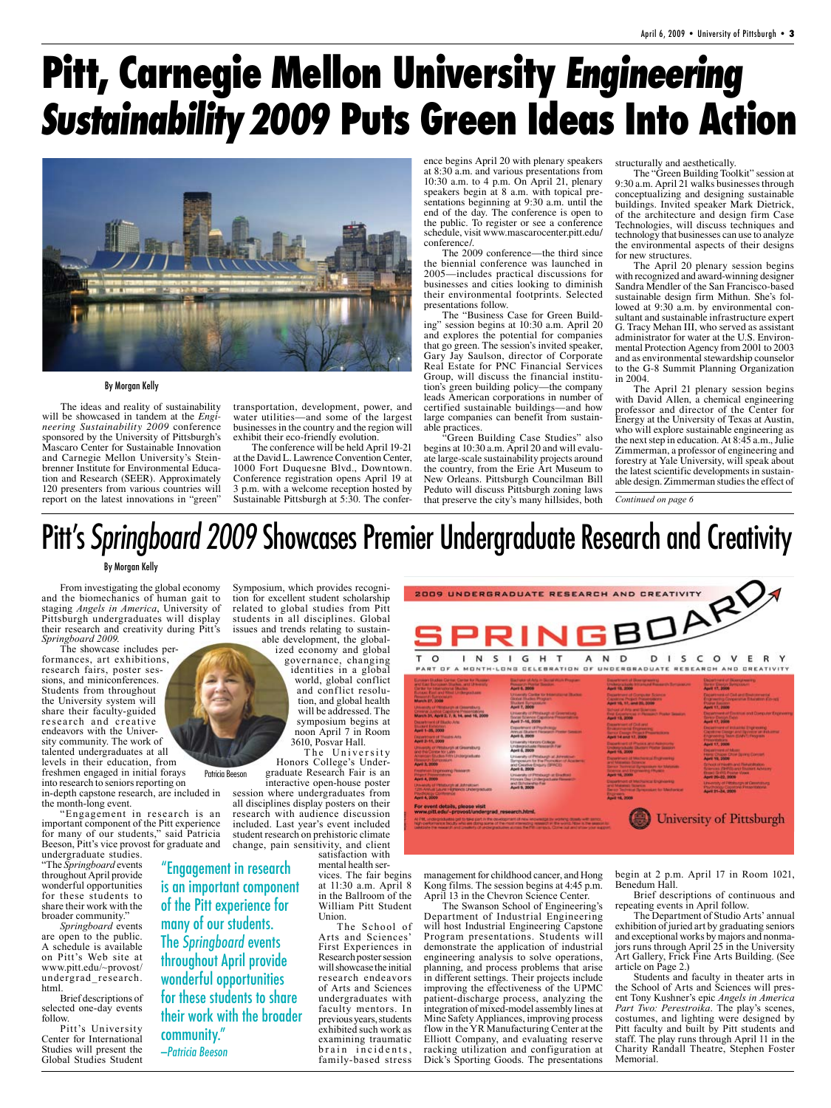## **Pitt, Carnegie Mellon University** Engineering Sustainability2009 **Puts Green Ideas Into Action**



By Morgan Kelly

The ideas and reality of sustainability will be showcased in tandem at the *Engineering Sustainability 2009* conference sponsored by the University of Pittsburgh's Mascaro Center for Sustainable Innovation and Carnegie Mellon University's Steinbrenner Institute for Environmental Education and Research (SEER). Approximately 120 presenters from various countries will report on the latest innovations in "green"

transportation, development, power, and water utilities—and some of the largest businesses in the country and the region will exhibit their eco-friendly evolution.

The conference will be held April 19-21 at the David L. Lawrence Convention Center, 1000 Fort Duquesne Blvd., Downtown. Conference registration opens April 19 at 3 p.m. with a welcome reception hosted by Sustainable Pittsburgh at 5:30. The conference begins April 20 with plenary speakers at 8:30 a.m. and various presentations from 10:30 a.m. to 4 p.m. On April 21, plenary speakers begin at 8 a.m. with topical presentations beginning at 9:30 a.m. until the end of the day. The conference is open to the public. To register or see a conference schedule, visit www.mascarocenter.pitt.edu/ conference/.

The 2009 conference—the third since the biennial conference was launched in 2005—includes practical discussions for businesses and cities looking to diminish their environmental footprints. Selected presentations follow.

The "Business Case for Green Building" session begins at 10:30 a.m. April 20 and explores the potential for companies that go green. The session's invited speaker, Gary Jay Saulson, director of Corporate Real Estate for PNC Financial Services Group, will discuss the financial institution's green building policy—the company leads American corporations in number of certified sustainable buildings—and how large companies can benefit from sustainable practices.

"Green Building Case Studies" also begins at 10:30 a.m. April 20 and will evalu- ate large-scale sustainability projects around the country, from the Erie Art Museum to New Orleans. Pittsburgh Councilman Bill Peduto will discuss Pittsburgh zoning laws that preserve the city's many hillsides, both structurally and aesthetically.

The "Green Building Toolkit" session at 9:30 a.m. April 21 walks businesses through conceptualizing and designing sustainable buildings. Invited speaker Mark Dietrick, of the architecture and design firm Case Technologies, will discuss techniques and technology that businesses can use to analyze the environmental aspects of their designs for new structures.

The April 20 plenary session begins with recognized and award-winning designer Sandra Mendler of the San Francisco-based sustainable design firm Mithun. She's followed at 9:30 a.m. by environmental consultant and sustainable infrastructure expert G. Tracy Mehan III, who served as assistant administrator for water at the U.S. Environmental Protection Agency from 2001 to 2003 and as environmental stewardship counselor to the G-8 Summit Planning Organization in 2004.

The April 21 plenary session begins with David Allen, a chemical engineering professor and director of the Center for Energy at the University of Texas at Austin, who will explore sustainable engineering as the next step in education. At 8:45 a.m., Julie Zimmerman, a professor of engineering and forestry at Yale University, will speak about able design. Zimmerman studies the effect of

*Continued on page 6*

## Pitt's Springboard 2009 Showcases Premier Undergraduate Research and Creativity

#### By Morgan Kelly

From investigating the global economy and the biomechanics of human gait to staging *Angels in America*, University of Pittsburgh undergraduates will display their research and creativity during Pitt's *Springboard 2009*.

The showcase includes performances, art exhibitions, research fairs, poster sessions, and miniconferences. Students from throughout the University system will share their faculty-guided research and creative endeavors with the University community. The work of talented undergraduates at all levels in their education, from freshmen engaged in initial forays

into research to seniors reporting on in-depth capstone research, are included in the month-long event.

"Engagement in research is an important component of the Pitt experience for many of our students," said Patricia Beeson, Pitt's vice provost for graduate and

undergraduate studies. "The *Springboard* events throughout April provide wonderful opportunities for these students to share their work with the broader community."

*Springboard* events are open to the public. A schedule is available on Pitt's Web site at www.pitt.edu/~provost/ undergrad\_research. html.

Brief descriptions of selected one-day events follow.

Pitt's University Center for International Studies will present the Global Studies Student

Symposium, which provides recogni-<br>tion for excellent student scholarship related to global studies from Pitt students in all disciplines. Global issues and trends relating to sustain- able development, the global- ized economy and global

governance, changing identities in a global world, global conflict and conflict resolution, and global health will be addressed. The symposium begins at noon April 7 in Room 3610, Posvar Hall.

The University Honors College's Undergraduate Research Fair is an

interactive open-house poster all disciplines display posters on their student research on prehistoric climate satisfaction with

mental health services. The fair begins at 11:30 a.m. April 8 in the Ballroom of the William Pitt Student Union.

The School of Arts and Sciences' First Experiences in Research poster session will showcase the initial research endeavors of Arts and Sciences undergraduates with faculty mentors. In previous years, students exhibited such work as examining traumatic brain incidents, family-based stress

|                                                                                                                                                                                                                                                                                                                                                                                                                                                                                                                                                                                                                                                                                                                                                                                                                                                                                                                                                                                                          | 2009 UNDERGRADUATE RESEARCH AND CREATIVITY<br>PRINGBOA                                                                                                                                                                                                                                                                                                                                                                                                                                                                                                                                                                                                                                                                                                                                                                                                                                                                                                                                                                                                                                                                                        |                                                                                                                                                                                                                                                                                                                                                                                                                                                                                                                                                                                                                                                                                                                                                                                                                                                                                                      |                                                                                                                                                                                                                                                                                                                                                                                                                                                                                                                                                                                                                                                                                                                                                                                                                                  |
|----------------------------------------------------------------------------------------------------------------------------------------------------------------------------------------------------------------------------------------------------------------------------------------------------------------------------------------------------------------------------------------------------------------------------------------------------------------------------------------------------------------------------------------------------------------------------------------------------------------------------------------------------------------------------------------------------------------------------------------------------------------------------------------------------------------------------------------------------------------------------------------------------------------------------------------------------------------------------------------------------------|-----------------------------------------------------------------------------------------------------------------------------------------------------------------------------------------------------------------------------------------------------------------------------------------------------------------------------------------------------------------------------------------------------------------------------------------------------------------------------------------------------------------------------------------------------------------------------------------------------------------------------------------------------------------------------------------------------------------------------------------------------------------------------------------------------------------------------------------------------------------------------------------------------------------------------------------------------------------------------------------------------------------------------------------------------------------------------------------------------------------------------------------------|------------------------------------------------------------------------------------------------------------------------------------------------------------------------------------------------------------------------------------------------------------------------------------------------------------------------------------------------------------------------------------------------------------------------------------------------------------------------------------------------------------------------------------------------------------------------------------------------------------------------------------------------------------------------------------------------------------------------------------------------------------------------------------------------------------------------------------------------------------------------------------------------------|----------------------------------------------------------------------------------------------------------------------------------------------------------------------------------------------------------------------------------------------------------------------------------------------------------------------------------------------------------------------------------------------------------------------------------------------------------------------------------------------------------------------------------------------------------------------------------------------------------------------------------------------------------------------------------------------------------------------------------------------------------------------------------------------------------------------------------|
| N                                                                                                                                                                                                                                                                                                                                                                                                                                                                                                                                                                                                                                                                                                                                                                                                                                                                                                                                                                                                        | s<br>G<br>н<br>А<br>PART OF A MONTH-LONG CELEBRATION OF UNDERGRADUATE RESEARCH AND CREATIVITY                                                                                                                                                                                                                                                                                                                                                                                                                                                                                                                                                                                                                                                                                                                                                                                                                                                                                                                                                                                                                                                 | ς<br>N<br>D                                                                                                                                                                                                                                                                                                                                                                                                                                                                                                                                                                                                                                                                                                                                                                                                                                                                                          | Е                                                                                                                                                                                                                                                                                                                                                                                                                                                                                                                                                                                                                                                                                                                                                                                                                                |
| Europan Brudge Carme: Carlte for Pussen<br>and filed European Starker, and D weekly.<br>Carter for International Studies<br><b>Rutza: Earl and Wed Undependent</b><br><b>Personnel Surrowaters</b><br><b>March 27, 2000</b><br>University of Personality at Directorians<br>Chresnal Justice Capitone Presentations<br>March 31, April 2, 7, 8, 14, and 15, 2009<br>Department of Blacks Arts:<br><b>Bluehard Establisht</b><br><b>April 1-26, 2000</b><br><b>Disportment of Theatre Arts</b><br>April 2-11, 2000<br>Unwarding of Pittsburgh at Greansburg<br>sing this Center for Latin<br>Amender Studes Hitly Undergraduate<br><b>Planneyrors Starrio material</b><br>April 1, 2000<br>Freshhoat Engineering Plaster III<br>Physics Presentations<br><b>April 4, 2009</b><br><b>University of Pittsburgh at Johnstown</b><br>12th Annual Laurer Highlands Undersmouses<br>Psychology Conference<br>April 4, 2009<br>For event details, please visit<br>www.pitt.edu/~provost/undergrad_research.html. | Bachake of Arts in Sucal Work Preguer:<br><b>Penalist Public Septer</b><br><b>April 6, 2006</b><br>University Contine for International Studies<br>Global Shades Propiant<br><b>Shutter Symptosure</b><br>April 7, 2009<br>University of Pittstaggh at Greenlessg.<br>Social Science Capalines Presentatores<br>April 7-16, 2009<br><b>Dissultment of Prest/Felicial</b><br>Annual Eleatent Flerworch Protein Saturdays<br>April 8, 2009<br>University Honors College<br><b>Undergraduate Research Fax</b><br>April 6, 2009<br>University of Petaburgh at Johnstown<br>Symposium to the Promotion of Academic<br>and Creative Engury (SRACE)<br>April 8, 2009<br>University of Pittsburgh at Bradford<br><b>Fitzman Day Underportune Newerth</b><br>and Scholandras Fax<br>April 9, 2009<br>All FML underproducted out to belie part in the development of new knowledge by working downly with service.<br>high-performance boudy who are doing some of the most interesting research in the world. Now is the associated<br>callebate the research and creaters of proterpactures across the fift compas. Come out and shorter your support | Daughtest of Bourgeauers,<br>Uniterpressed Internet Research Synapsurer<br><b>April 10, 2000</b><br>Department of Computer Science<br>Capitors Project Presentations:<br>April 10, 17, and 20, 5000<br><b>Barbook of Arts sent Stoketown</b><br>Evel Experienced In Personal Poster Session.<br><b>April 13, 2000</b><br><b>Council hart of Coll and</b><br>Environmental Engineering<br><b>Barriot Design Project Presentations</b><br>April 14 and 17, 2006<br>Department of Phytics and Automotive<br><b>Undergraduate Student Poster Season</b><br><b>April 15, 2000</b><br>Dasarines at Machenual Engraveries<br>and Massists faturate.<br>Bernor Stereotal Byreams en Materials<br>Soenie and thromainig thusoit<br>April 16, 2000<br><b>Department of Mechanical Engineering:</b><br>and Manned: Science.<br>Twist Technical Temperature for Medianical<br>Ergewers.<br><b>April 16, 2000</b> | Decentment of Buerryt earling<br><b>Bancr Coastel Sympopter</b><br>April 17, 2006<br><b>Cocantmed of Civil and Beatomental</b><br>Engineering Company that Elisabeth a Go-rais<br><b>Pueur fusions</b><br>April 17, 2006<br>Department of Decema and Dorputer Engineering<br>farmer Desson Expirit<br><b>April 17, 2006</b><br>Department of autopies Engineering<br>Cigatore Clasge and Systems on Exhansal<br>Engreeng Term EMN'll Progress<br><b>April 17, 2008</b><br><b>Copyright and Alberta</b><br>Here Ongo, Otte Spring Consen-<br><b>April 19, 2009</b><br>School of Health and Returnities of<br>Sciences (DHRI) and Student Advance-<br><b>Report Di-POL Pearter Viewe</b><br>April 26-32, 2009<br><b>University of Pittsburgh of Generativity</b><br>Phythology Classical Presentations<br>University of Pittsburgh |

management for childhood cancer, and Hong Kong films. The session begins at 4:45 p.m. April 13 in the Chevron Science Center.

The Swanson School of Engineering's Department of Industrial Engineering will host Industrial Engineering Capstone Program presentations. Students will demonstrate the application of industrial engineering analysis to solve operations, planning, and process problems that arise in different settings. Their projects include improving the effectiveness of the UPMC patient-discharge process, analyzing the integration of mixed-model assembly lines at Mine Safety Appliances, improving process flow in the YR Manufacturing Center at the Elliott Company, and evaluating reserve racking utilization and configuration at Dick's Sporting Goods. The presentations

begin at 2 p.m. April 17 in Room 1021, Benedum Hall.

Brief descriptions of continuous and repeating events in April follow.

The Department of Studio Arts' annual exhibition of juried art by graduating seniors and exceptional works by majors and nonmajors runs through April 25 in the University Art Gallery, Frick Fine Arts Building. (See article on Page 2.)

Students and faculty in theater arts in the School of Arts and Sciences will present Tony Kushner's epic *Angels in America Part Two: Perestroika*. The play's scenes, costumes, and lighting were designed by Pitt faculty and built by Pitt students and staff. The play runs through April 11 in the Charity Randall Theatre, Stephen Foster Memorial.

Patricia Beeson

"Engagement in research is an important component of the Pitt experience for many of our students. The Springboard events throughout April provide

wonderful opportunities for these students to share their work with the broader

community." —Patricia Beeson

session where undergraduates from research with audience discussion included. Last year's event included change, pain sensitivity, and client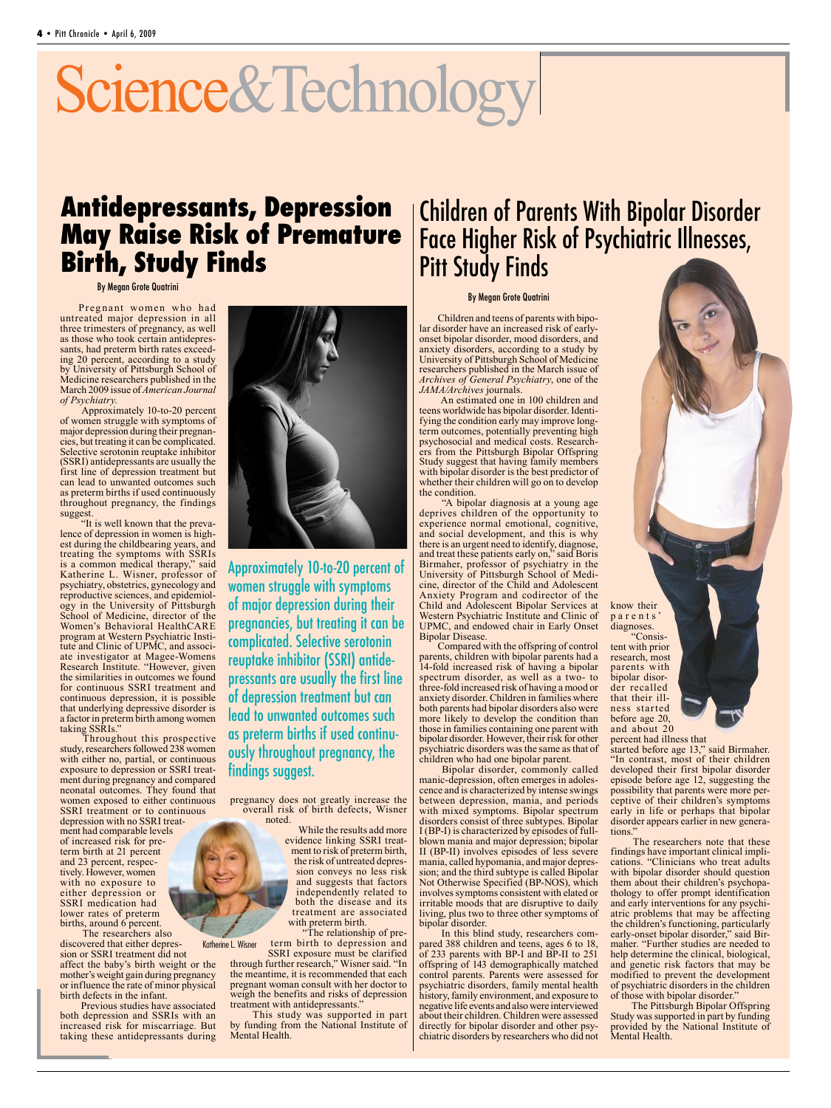# Science&Technology

### **Antidepressants, Depression May Raise Risk of Premature Birth, Study Finds**

By Megan Grote Quatrini

Pregnant women who had untreated major depression in all three trimesters of pregnancy, as well as those who took certain antidepressants, had preterm birth rates exceeding 20 percent, according to a study by University of Pittsburgh School of Medicine researchers published in the March 2009 issue of *American Journal of Psychiatry*.

Approximately 10-to-20 percent of women struggle with symptoms of major depression during their pregnancies, but treating it can be complicated. Selective serotonin reuptake inhibitor (SSRI) antidepressants are usually the first line of depression treatment but can lead to unwanted outcomes such as preterm births if used continuously throughout pregnancy, the findings suggest.

"It is well known that the prevalence of depression in women is highest during the childbearing years, and treating the symptoms with SSRIs is a common medical therapy," said Katherine L. Wisner, professor of psychiatry, obstetrics, gynecology and reproductive sciences, and epidemiology in the University of Pittsburgh School of Medicine, director of the Women's Behavioral HealthCARE program at Western Psychiatric Institute and Clinic of UPMC, and associate investigator at Magee-Womens Research Institute. "However, given the similarities in outcomes we found for continuous SSRI treatment and continuous depression, it is possible that underlying depressive disorder is a factor in preterm birth among women taking SSRIs.'

Throughout this prospective study, researchers followed 238 women with either no, partial, or continuous exposure to depression or SSRI treatment during pregnancy and compared neonatal outcomes. They found that women exposed to either continuous SSRI treatment or to continuous depression with no SSRI treatment had comparable levels of increased risk for preterm birth at 21 percent and 23 percent, respectively. However, women with no exposure to either depression or SSRI medication had lower rates of preterm births, around 6 percent.

Katherine L. Wisner The researchers also discovered that either depression or SSRI treatment did not affect the baby's birth weight or the mother's weight gain during pregnancy or influence the rate of minor physical birth defects in the infant.

Previous studies have associated both depression and SSRIs with an increased risk for miscarriage. But taking these antidepressants during



Approximately 10-to-20 percent of women struggle with symptoms of major depression during their pregnancies, but treating it can be complicated. Selective serotonin reuptake inhibitor (SSRI) antidepressants are usually the first line of depression treatment but can lead to unwanted outcomes such as preterm births if used continuously throughout pregnancy, the findings suggest.

pregnancy does not greatly increase the overall risk of birth defects, Wisner noted.

While the results add more evidence linking SSRI treatment to risk of preterm birth, the risk of untreated depression conveys no less risk and suggests that factors independently related to both the disease and its treatment are associated ith preterm birth.

"The relationship of preterm birth to depression and

SSRI exposure must be clarified through further research," Wisner said. "In the meantime, it is recommended that each pregnant woman consult with her doctor to weigh the benefits and risks of depression treatment with antidepressants.'

This study was supported in part by funding from the National Institute of Mental Health.

### Children of Parents With Bipolar Disorder Face Higher Risk of Psychiatric Illnesses, Pitt Study Finds

#### By Megan Grote Quatrini

Children and teens of parents with bipolar disorder have an increased risk of earlyonset bipolar disorder, mood disorders, and anxiety disorders, according to a study by University of Pittsburgh School of Medicine researchers published in the March issue of *Archives of General Psychiatry*, one of the *JAMA/Archives* journals.

An estimated one in 100 children and teens worldwide has bipolar disorder. Identifying the condition early may improve longterm outcomes, potentially preventing high psychosocial and medical costs. Researchers from the Pittsburgh Bipolar Offspring Study suggest that having family members with bipolar disorder is the best predictor of whether their children will go on to develop the condition.

"A bipolar diagnosis at a young age deprives children of the opportunity to experience normal emotional, cognitive, and social development, and this is why there is an urgent need to identify, diagnose, and treat these patients early on," said Boris Birmaher, professor of psychiatry in the University of Pittsburgh School of Medicine, director of the Child and Adolescent Anxiety Program and codirector of the Child and Adolescent Bipolar Services at Western Psychiatric Institute and Clinic of UPMC, and endowed chair in Early Onset Bipolar Disease.

Compared with the offspring of control parents, children with bipolar parents had a 14-fold increased risk of having a bipolar spectrum disorder, as well as a two- to three-fold increased risk of having a mood or anxiety disorder. Children in families where both parents had bipolar disorders also were more likely to develop the condition than those in families containing one parent with bipolar disorder. However, their risk for other psychiatric disorders was the same as that of children who had one bipolar parent.

Bipolar disorder, commonly called manic-depression, often emerges in adoles-<br>cence and is characterized by intense swings between depression, mania, and periods with mixed symptoms. Bipolar spectrum disorders consist of three subtypes. Bipolar I (BP-I) is characterized by episodes of fullblown mania and major depression; bipolar II (BP-II) involves episodes of less severe mania, called hypomania, and major depression; and the third subtype is called Bipolar Not Otherwise Specified (BP-NOS), which involves symptoms consistent with elated or irritable moods that are disruptive to daily living, plus two to three other symptoms of bipolar disorder.

In this blind study, researchers compared 388 children and teens, ages 6 to 18, of 233 parents with BP-I and BP-II to 251 offspring of 143 demographically matched control parents. Parents were assessed for psychiatric disorders, family mental health history, family environment, and exposure to negative life events and also were interviewed about their children. Children were assessed directly for bipolar disorder and other psychiatric disorders by researchers who did not know their p a r e n t s diagnoses.<br>"Consis-

tent with prior research, most parents with<br>bipolar disorder recalled<br>that their illness started before age 20, and about 20

percent had illness that

started before age 13," said Birmaher. "In contrast, most of their children developed their first bipolar disorder episode before age 12, suggesting the possibility that parents were more perceptive of their children's symptoms early in life or perhaps that bipolar disorder appears earlier in new generations.

The researchers note that these findings have important clinical implications. "Clinicians who treat adults with bipolar disorder should question them about their children's psychopathology to offer prompt identification and early interventions for any psychiatric problems that may be affecting the children's functioning, particularly<br>early-onset bipolar disorder," said Birmaher. "Further studies are needed to help determine the clinical, biological, and genetic risk factors that may be modified to prevent the development of psychiatric disorders in the children of those with bipolar disorder."

The Pittsburgh Bipolar Offspring Study was supported in part by funding provided by the National Institute of Mental Health.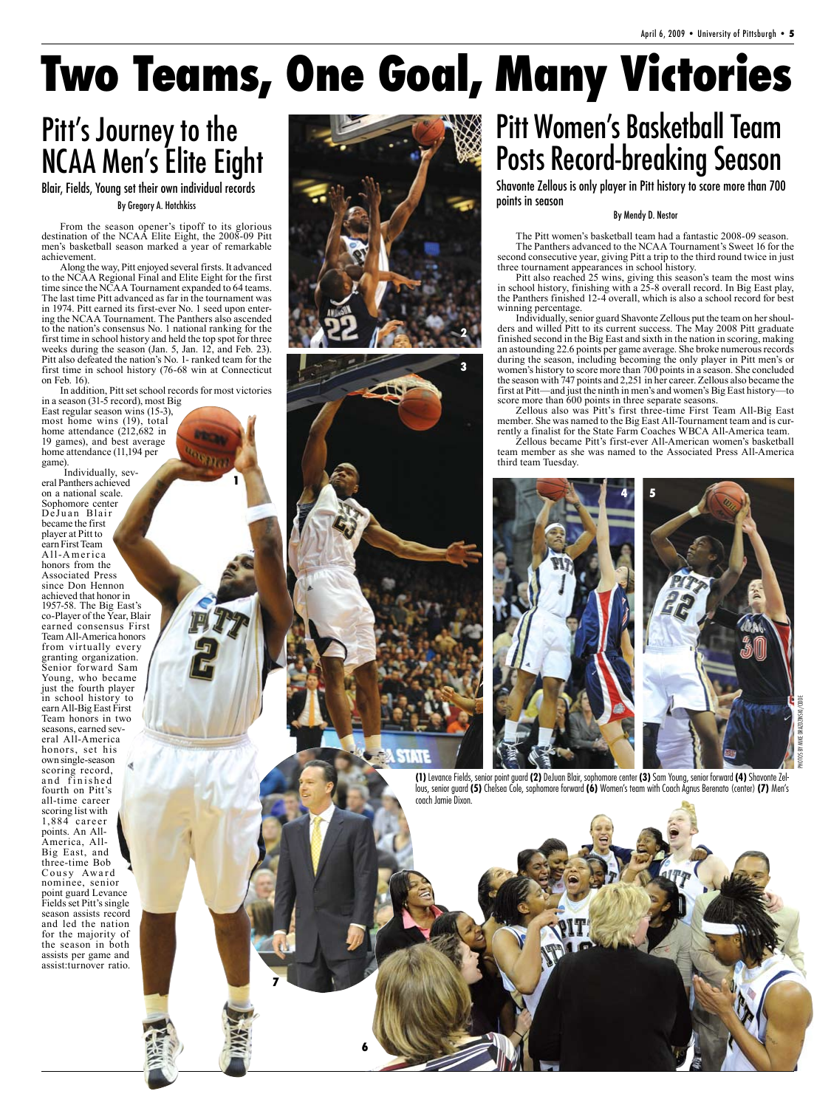## **Two Teams, One Goal, Many Victories**

## Pitt's Journey to the NCAA Men's Elite Eight

By Gregory A. Hotchkiss Blair, Fields, Young set their own individual records

From the season opener's tipoff to its glorious destination of the NCAA Elite Eight, the 2008-09 Pitt men's basketball season marked a year of remarkable achievement.

Along the way, Pitt enjoyed several firsts. It advanced to the NCAA Regional Final and Elite Eight for the first time since the NCAA Tournament expanded to 64 teams. The last time Pitt advanced as far in the tournament was in 1974. Pitt earned its first-ever No. 1 seed upon entering the NCAA Tournament. The Panthers also ascended to the nation's consensus No. 1 national ranking for the first time in school history and held the top spot for three weeks during the season (Jan. 5, Jan. 12, and Feb. 23). Pitt also defeated the nation's No. 1- ranked team for the first time in school history (76-68 win at Connecticut on Feb. 16).

In addition, Pitt set school records for most victories in a season (31-5 record), most Big

**1**

East regular season wins (15-3), most home wins (19), total home attendance (212,682 in 19 games), and best average home attendance (11,194 per game).

Individually, several Panthers achieved on a national scale. Sophomore center DeJuan Blair became the first player at Pitt to earn First Team A ll-A mer ica honors from the Associated Press since Don Hennon achieved that honor in 1957-58. The Big East's co-Player of the Year, Blair earned consensus First Team All-America honors from virtually every granting organization. Senior forward Sam Young, who became just the fourth player in school history to earn All-Big East First Team honors in two seasons, earned several All-America honors, set his own single-season scoring record, and finished fourth on Pitt's all-time career scoring list with 1,884 ca reer points. An All-America, All-Big East, and three-time Bob Cousy Award nominee, senior point guard Levance Fields set Pitt's single season assists record and led the nation for the majority of the season in both assists per game and assist:turnover ratio.





**6**

**7**

## Pitt Women's Basketball Team Posts Record-breaking Season

Shavonte Zellous is only player in Pitt history to score more than 700 points in season

#### By Mendy D. Nestor

The Pitt women's basketball team had a fantastic 2008-09 season. The Panthers advanced to the NCAA Tournament's Sweet 16 for the second consecutive year, giving Pitt a trip to the third round twice in just three tournament appearances in school history.

Pitt also reached 25 wins, giving this season's team the most wins in school history, finishing with a 25-8 overall record. In Big East play, the Panthers finished 12-4 overall, which is also a school record for best winning percentage.

Individually, senior guard Shavonte Zellous put the team on her shoulders and willed Pitt to its current success. The May 2008 Pitt graduate finished second in the Big East and sixth in the nation in scoring, making an astounding 22.6 points per game average. She broke numerous records during the season, including becoming the only player in Pitt men's or women's history to score more than 700 points in a season. She concluded the season with 747 points and 2,251 in her career. Zellous also became the first at Pitt—and just the ninth in men's and women's Big East history—to score more than 600 points in three separate seasons.

Zellous also was Pitt's first three-time First Team All-Big East member. She was named to the Big East All-Tournament team and is currently a finalist for the State Farm Coaches WBCA All-America team.

Zellous became Pitt's first-ever All-American women's basketball team member as she was named to the Associated Press All-America third team Tuesday.





**(1)** Levance Fields, senior point guard **(2)** DeJuan Blair, sophomore center **(3)** Sam Young, senior forward **(4)** Shavonte Zellous, senior guard **(5)** Chelsea Cole, sophomore forward **(6)** Women's team with Coach Agnus Berenato (center) **(7)** Men's coach Jamie Dixon.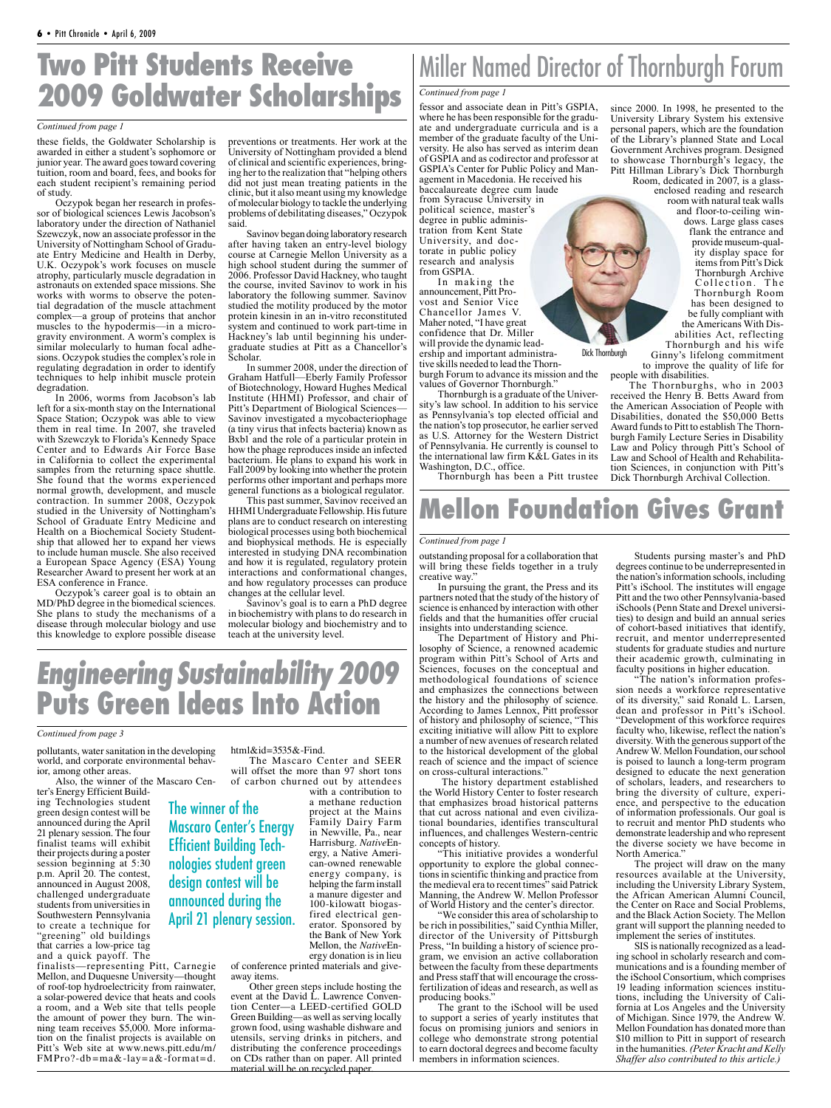## **Two Pitt Students Receive 2009 Goldwater Scholarships**

#### *Continued from page 1*

these fields, the Goldwater Scholarship is awarded in either a student's sophomore or junior year. The award goes toward covering tuition, room and board, fees, and books for each student recipient's remaining period of study.

Oczypok began her research in profes- sor of biological sciences Lewis Jacobson's laboratory under the direction of Nathaniel Szewczyk, now an associate professor in the University of Nottingham School of Gradu- ate Entry Medicine and Health in Derby, U.K. Oczypok's work focuses on muscle atrophy, particularly muscle degradation in astronauts on extended space missions. She works with worms to observe the potential degradation of the muscle attachment complex—a group of proteins that anchor muscles to the hypodermis—in a microgravity environment. A worm's complex is similar molecularly to human focal adhesions. Oczypok studies the complex's role in regulating degradation in order to identify techniques to help inhibit muscle protein degradation.

In 2006, worms from Jacobson's lab left for a six-month stay on the International Space Station; Oczypok was able to view them in real time. In 2007, she traveled with Szewczyk to Florida's Kennedy Space Center and to Edwards Air Force Base in California to collect the experimental samples from the returning space shuttle. She found that the worms experienced normal growth, development, and muscle contraction. In summer 2008, Oczypok studied in the University of Nottingham's School of Graduate Entry Medicine and Health on a Biochemical Society Studentship that allowed her to expand her views to include human muscle. She also received a European Space Agency (ESA) Young Researcher Award to present her work at an ESA conference in France.

Oczypok's career goal is to obtain an MD/PhD degree in the biomedical sciences. She plans to study the mechanisms of a disease through molecular biology and use this knowledge to explore possible disease

pollutants, water sanitation in the developing world, and corporate environmental behav-<br>ior, among other areas. Also, the winner of the Mascaro Cen-

of roof-top hydroelectricity from rainwater, a solar-powered device that heats and cools a room, and a Web site that tells people the amount of power they burn. The winning team receives \$5,000. More information on the finalist projects is available on Pitt's Web site at www.news.pitt.edu/m/ FMPro?-db=ma&-lay=a&-format=d.

ter's Energy Efficient Building Technologies student green design contest will be announced during the April 21 plenary session. The four finalist teams will exhibit their projects during a poster session beginning at 5:30 p.m. April 20. The contest, announced in August 2008, challenged undergraduate students from universities in Southwestern Pennsylvania to create a technique for "greening" old buildings that carries a low-price tag and a quick payoff. The

*Continued from page 3*

preventions or treatments. Her work at the University of Nottingham provided a blend of clinical and scientific experiences, bring- ing her to the realization that "helping others did not just mean treating patients in the clinic, but it also meant using my knowledge of molecular biology to tackle the underlying problems of debilitating diseases," Oczypok said.

Savinov began doing laboratory research after having taken an entry-level biology course at Carnegie Mellon University as a high school student during the summer of 2006. Professor David Hackney, who taught the course, invited Savinov to work in his laboratory the following summer. Savinov studied the motility produced by the motor protein kinesin in an in-vitro reconstituted system and continued to work part-time in Hackney's lab until beginning his undergraduate studies at Pitt as a Chancellor's Scholar.

In summer 2008, under the direction of Graham Hatfull—Eberly Family Professor of Biotechnology, Howard Hughes Medical Institute (HHMI) Professor, and chair of Pitt's Department of Biological Sciences— Savinov investigated a mycobacteriophage (a tiny virus that infects bacteria) known as Bxb1 and the role of a particular protein in how the phage reproduces inside an infected bacterium. He plans to expand his work in Fall 2009 by looking into whether the protein performs other important and perhaps more general functions as a biological regulator.

This past summer, Savinov received an HHMI Undergraduate Fellowship. His future plans are to conduct research on interesting biological processes using both biochemical and biophysical methods. He is especially interested in studying DNA recombination and how it is regulated, regulatory protein interactions and conformational changes, and how regulatory processes can produce changes at the cellular level.

Savinov's goal is to earn a PhD degree in biochemistry with plans to do research in molecular biology and biochemistry and to teach at the university level.

## Miller Named Director of Thornburgh Forum

#### *Continued from page 1*

fessor and associate dean in Pitt's GSPIA, where he has been responsible for the graduate and undergraduate curricula and is a member of the graduate faculty of the University. He also has served as interim dean of GSPIA and as codirector and professor at GSPIA's Center for Public Policy and Management in Macedonia. He received his baccalaureate degree cum laude from Syracuse University in political science, master's degree in public administration from Kent State University, and doctorate in public policy research and analysis from GSPIA.

In making the announcement, Pitt Provost and Senior Vice Chancellor James V. Maher noted, "I have great confidence that Dr. Miller will provide the dynamic leadership and important administrative skills needed to lead the Thornburgh Forum to advance its mission and the values of Governor Thornburgh."

Thornburgh is a graduate of the University's law school. In addition to his service as Pennsylvania's top elected official and the nation's top prosecutor, he earlier served as U.S. Attorney for the Western District of Pennsylvania. He currently is counsel to the international law firm K&L Gates in its Washington, D.C., office.

Thornburgh has been a Pitt trustee

## **Mellon Foundation Gives Grant**

#### *Continued from page 1*

outstanding proposal for a collaboration that will bring these fields together in a truly creative way."

In pursuing the grant, the Press and its partners noted that the study of the history of science is enhanced by interaction with other fields and that the humanities offer crucial insights into understanding science.

The Department of History and Philosophy of Science, a renowned academic program within Pitt's School of Arts and Sciences, focuses on the conceptual and methodological foundations of science and emphasizes the connections between the history and the philosophy of science. According to James Lennox, Pitt professor of history and philosophy of science, "This exciting initiative will allow Pitt to explore a number of new avenues of research related to the historical development of the global reach of science and the impact of science on cross-cultural interactions."

 The history department established the World History Center to foster research that emphasizes broad historical patterns that cut across national and even civilizational boundaries, identifies transcultural influences, and challenges Western-centric concepts of history.

"This initiative provides a wonderful opportunity to explore the global connections in scientific thinking and practice from the medieval era to recent times" said Patrick Manning, the Andrew W. Mellon Professor of World History and the center's director.

"We consider this area of scholarship to be rich in possibilities," said Cynthia Miller, director of the University of Pittsburgh Press, "In building a history of science program, we envision an active collaboration between the faculty from these departments and Press staff that will encourage the crossfertilization of ideas and research, as well as producing books."

The grant to the iSchool will be used to support a series of yearly institutes that focus on promising juniors and seniors in college who demonstrate strong potential to earn doctoral degrees and become faculty members in information sciences.

since 2000. In 1998, he presented to the University Library System his extensive personal papers, which are the foundation of the Library's planned State and Local Government Archives program. Designed to showcase Thornburgh's legacy, the Pitt Hillman Library's Dick Thornburgh Room, dedicated in 2007, is a glass-

enclosed reading and research room with natural teak walls and floor-to-ceiling windows. Large glass cases flank the entrance and provide museum-quality display space for items from Pitt's Dick Thornburgh Archive Collection. The Thornburgh Room has been designed to be fully compliant with

the Americans With Disabilities Act, reflecting Thornburgh and his wife

Ginny's lifelong commitment to improve the quality of life for people with disabilities. Dick Thornburgh

The Thornburghs, who in 2003 received the Henry B. Betts Award from the American Association of People with Disabilities, donated the \$50,000 Betts Award funds to Pitt to establish The Thornburgh Family Lecture Series in Disability Law and Policy through Pitt's School of<br>Law and School of Health and Rehabilitation Sciences, in conjunction with Pitt's Dick Thornburgh Archival Collection.

Students pursing master's and PhD degrees continue to be underrepresented in the nation's information schools, including Pitt's iSchool. The institutes will engage Pitt and the two other Pennsylvania-based iSchools (Penn State and Drexel universities) to design and build an annual series of cohort-based initiatives that identify, recruit, and mentor underrepresented students for graduate studies and nurture their academic growth, culminating in faculty positions in higher education.

"The nation's information profession needs a workforce representative of its diversity," said Ronald L. Larsen, dean and professor in Pitt's iSchool. "Development of this workforce requires faculty who, likewise, reflect the nation's diversity. With the generous support of the Andrew W. Mellon Foundation, our school is poised to launch a long-term program designed to educate the next generation of scholars, leaders, and researchers to bring the diversity of culture, experience, and perspective to the education of information professionals. Our goal is to recruit and mentor PhD students who demonstrate leadership and who represent the diverse society we have become in North America."

The project will draw on the many resources available at the University, including the University Library System, the African American Alumni Council, the Center on Race and Social Problems, and the Black Action Society. The Mellon grant will support the planning needed to implement the series of institutes.

SIS is nationally recognized as a leading school in scholarly research and communications and is a founding member of the iSchool Consortium, which comprises 19 leading information sciences institutions, including the University of California at Los Angeles and the University of Michigan. Since 1979, the Andrew W. Mellon Foundation has donated more than \$10 million to Pitt in support of research in the humanities. *(Peter Kracht and Kelly Shaffer also contributed to this article.)* 

The winner of the Mascaro Center's Energy Efficient Building Technologies student green design contest will be announced during the April 21 plenary session.

Engineering Sustainability 2009

**Puts Green Ideas Into Action**

finalists—representing Pitt, Carnegie Mellon, and Duquesne University—thought the Bank of New York<br>Mellon, the NativeEnergy donation is in lieu of conference printed materials and giveaway items.

Other green steps include hosting the event at the David L. Lawrence Conven-<br>tion Center—a LEED-certified GOLD Green Building—as well as serving locally grown food, using washable dishware and utensils, serving drinks in pitchers, and distributing the conference proceedings on CDs rather than on paper. All printed material will be on recycled paper.

html&id=3535&-Find. The Mascaro Center and SEER will offset the more than 97 short tons of carbon churned out by attendees with a contribution to

> a methane reduction project at the Mains Family Dairy Farm in Newville, Pa., near Harrisburg. *Native*Energy, a Native American-owned renewable energy company, is helping the farm install a manure digester and 100-kilowatt biogasfired electrical generator. Sponsored by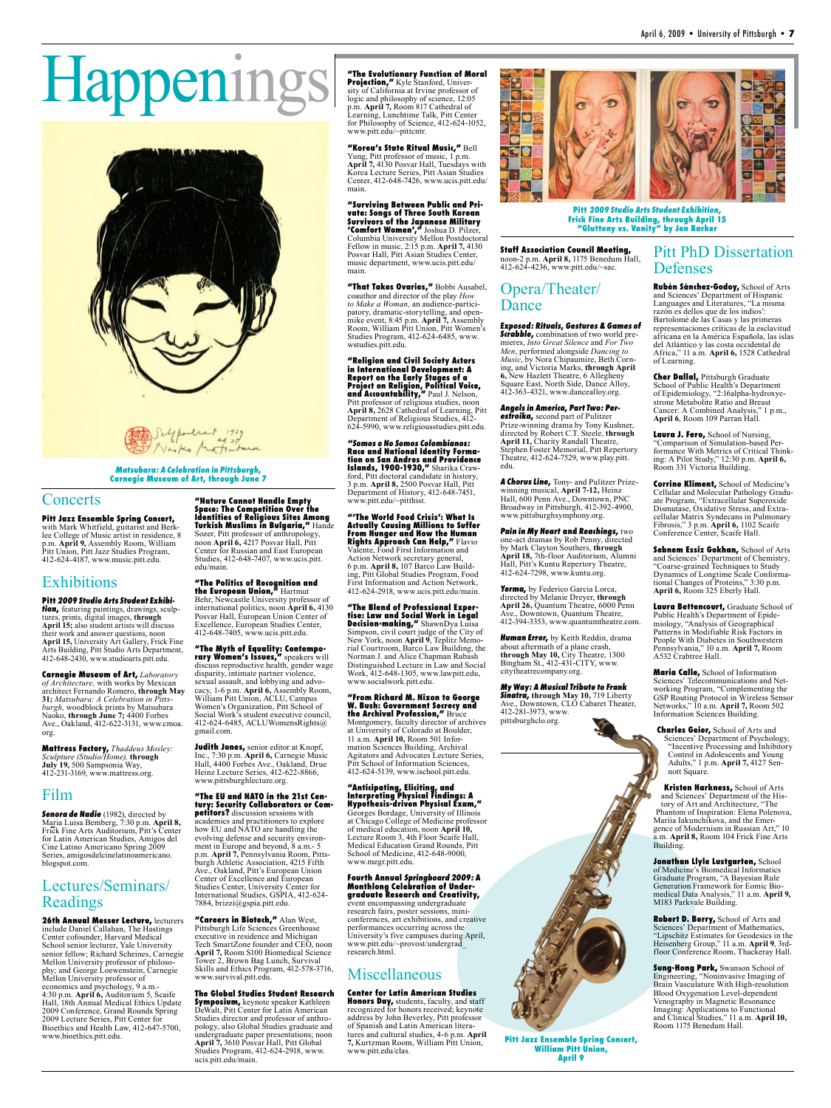Pitt PhD Dissertation

**Rubén Sánchez-Godoy,** School of Arts and Sciences' Department of Hispanic Languages and Literatures, "La misma razón es dellos que de los indios': Bartolomé de las Casas y las primeras representaciones críticas de la esclavitud africana en la América Española, las islas del Atlántico y las costa occidental de Africa," 11 a.m. **April 6,** 1528 Cathedral

**Cher Dallal,** Pittsburgh Graduate School of Public Health's Department of Epidemiology, "2:16alpha-hydroxyestrone Metabolite Ratio and Breast Cancer: A Combined Analysis," 1 p.m., **April 6**, Room 109 Parran Hall. **Laura J. Fero,** School of Nursing, "Comparison of Simulation-based Performance With Metrics of Critical Think-ing: A Pilot Study," 12:30 p.m. **April 6,** 

Room 331 Victoria Building.

**Corrine Kliment,** School of Medicine's Cellular and Molecular Pathology Graduate Program, "Extracellular Superoxide Dismutase, Oxidative Stress, and Extracellular Matrix Syndecans in Pulmonary Fibrosis," 3 p.m. **April 6,** 1102 Scaife Conference Center, Scaife Hall.

**Sebnem Essiz Gokhan,** School of Arts and Sciences' Department of Chemistry, "Coarse-grained Techniques to Study Dynamics of Longtime Scale Conformational Changes of Proteins," 3:30 p.m. **April 6,** Room 325 Eberly Hall.

**Laura Bettencourt,** Graduate School of Public Health's Department of Epidemiology, "Analysis of Geographical Patterns in Modifiable Risk Factors in People With Diabetes in Southwestern Pennsylvania," 10 a.m. **April 7,** Room

**Maria Calle,** School of Information Sciences' Telecommunications and Networking Program, "Complementing the GSP Routing Protocol in Wireless Sensor Networks," 10 a.m. **April 7,** Room 502

A532 Crabtree Hall.

Defenses

of Learning.

# Happenings



#### Matsubara: A Celebration in Pittsburgh**, Carnegie Museum of Art, through June 7**

#### **Concerts**

**Pitt Jazz Ensemble Spring Concert,** with Mark Whitfield, guitarist and Berklee College of Music artist in residence, 8 p.m. **April 9,** Assembly Room, William Pitt Union, Pitt Jazz Studies Program, 412-624-4187, www.music.pitt.edu.

#### Exhibitions

Pitt 2009 Studio Arts Student Exhibi-<br>tion, featuring paintings, drawings, sculptures, prints, digital images, **through April 15;** also student artists will discuss their work and answer questions, noon **April 15,** University Art Gallery, Frick Fine Arts Building, Pitt Studio Arts Department, 412-648-2430, www.studioarts.pitt.edu.

**Carnegie Museum of Art,** *Laboratory of Architecture,* with works by Mexican architect Fernando Romero, **through May 31;** *Matsubara: A Celebration in Pittsburgh,* woodblock prints by Matsubara Naoko, **through June 7;** 4400 Forbes Ave., Oakland, 412-622-3131, www.cmoa. org.

**Mattress Factory,** *Thaddeus Mosley: Sculpture (Studio/Home),* **through July 19,** 500 Sampsonia Way, 412-231-3169, www.mattress.org.

#### Film

Senora de Nadie (1982), directed by Maria Luisa Bemberg, 7:30 p.m. **April 8,**  Frick Fine Arts Auditorium, Pitt's Center for Latin American Studies, Amigos del Cine Latino Americano Spring 2009 Series, amigosdelcinelatinoamericano. blogspot.com.

#### Lectures/Seminars/ Readings

**26th Annual Messer Lecture,** lecturers include Daniel Callahan, The Hastings Center cofounder, Harvard Medical School senior lecturer, Yale University senior fellow; Richard Scheines, Carnegie Mellon University professor of philosophy; and George Loewenstein, Carnegie Mellon University professor of economics and psychology, 9 a.m.- 4:30 p.m. **April 6,** Auditorium 5, Scaife Hall, 18th Annual Medical Ethics Update 2009 Conference, Grand Rounds Spring 2009 Lecture Series, Pitt Center for Bioethics and Health Law, 412-647-5700, www.bioethics.pitt.edu.

**"Nature Cannot Handle Empty Space: The Competition Over the Identities of Religious Sites Among Turkish Muslims in Bulgaria,"** Hande Sozer, Pitt professor of anthropology, noon **April 6,** 4217 Posvar Hall, Pitt Center for Russian and East European Studies, 412-648-7407, www.ucis.pitt. edu/main.

**"The Politics of Recognition and the European Union,"** Hartmut Behr, Newcastle University professor of

international politics, noon **April 6,** 4130 Posvar Hall, European Union Center of Excellence, European Studies Center, 412-648-7405, www.ucis.pitt.edu.

**"The Myth of Equality: Contemporary Women's Issues,"** speakers will discuss reproductive health, gender wage disparity, intimate partner violence, sexual assault, and lobbying and advocacy, 1-6 p.m. **April 6,** Assembly Room, William Pitt Union, ACLU, Campus Women's Organization, Pitt School of Social Work's student executive council, 412-624-6485, ACLUWomensRights@ gmail.com.

**Judith Jones,** senior editor at Knopf, Inc., 7:30 p.m. **April 6,** Carnegie Music Hall, 4400 Forbes Ave., Oakland, Drue Heinz Lecture Series, 412-622-8866, www.pittsburghlecture.org.

**"The EU and NATO in the 21st Century: Security Collaborators or Competitors?** discussion sessions with academics and practitioners to explore how EU and NATO are handling the evolving defense and security environ-ment in Europe and beyond, 8 a.m.- 5 p.m. **April 7,** Pennsylvania Room, Pittsburgh Athletic Association, 4215 Fifth Ave., Oakland, Pitt's European Union Center of Excellence and European Studies Center, University Center for International Studies, GSPIA, 412-624- 7884, brizzi@gspia.pitt.edu.

**"Careers in Biotech,"** Alan West, Pittsburgh Life Sciences Greenhouse executive in residence and Michigan Tech SmartZone founder and CEO, noon **April 7,** Room S100 Biomedical Science Tower 2, Brown Bag Lunch, Survival Skills and Ethics Program, 412-578-3716, www.survival.pitt.edu.

**The Global Studies Student Research** 

**Symposium,** keynote speaker Kathleen DeWalt, Pitt Center for Latin American Studies director and professor of anthropology, also Global Studies graduate and undergraduate paper presentations; noon **April 7,** 3610 Posvar Hall, Pitt Global Studies Program, 412-624-2918, www. ucis.pitt.edu/main.

#### **"The Evolutionary Function of Moral**

**Projection,"** Kyle Stanford, University of California at Irvine professor of logic and philosophy of science, 12:05 p.m. **April 7,** Room 817 Cathedral of Learning, Lunchtime Talk, Pitt Center for Philosophy of Science, 412-624-1052, www.pitt.edu/~pittcntr.

**"Korea's State Ritual Music,"** Bell Yung, Pitt professor of music, 1 p.m. **April 7,** 4130 Posvar Hall, Tuesdays with Korea Lecture Series, Pitt Asian Studies Center, 412-648-7426, www.ucis.pitt.edu/ main.

**"Surviving Between Public and Private: Songs of Three South Korean Survivors of the Japanese Military 'Comfort Women',"** Joshua D. Pilzer, Columbia University Mellon Postdoctoral Fellow in music, 2:15 p.m. **April 7,** 4130 Posvar Hall, Pitt Asian Studies Center, music department, www.ucis.pitt.edu/ main.

**"That Takes Ovaries,"** Bobbi Ausabel, coauthor and director of the play *How to Make a Woman,* an audience-participatory, dramatic-storytelling, and openmike event, 8:45 p.m. **April 7,** Assembly Room, William Pitt Union, Pitt Women's Studies Program, 412-624-6485, www. wstudies.pitt.edu.

**"Religion and Civil Society Actors in International Development: A Report on the Early Stages of a Project on Religion, Political Voice, and Accountability,"** Paul J. Nelson, Pitt professor of religious studies, noon **April 8,** 2628 Cathedral of Learning, Pitt Department of Religious Studies, 412- 624-5990, www.religiousstudies.pitt.edu.

"Somos o No Somos Colombianos: **Race and National Identity Formation on San Andres and Providence Islands, 1900-1930,"** Sharika Crawford, Pitt doctoral candidate in history, 3 p.m. **April 8,** 2500 Posvar Hall, Pitt Department of History, 412-648-7451, www.pitt.edu/~pitthist.

**"'The World Food Crisis': What Is Actually Causing Millions to Suffer From Hunger and How the Human Rights Approach Can Help,"** Flavio Valente, Food First Information and Action Network secretary general, 6 p.m. **April 8,** 107 Barco Law Building, Pitt Global Studies Program, Food First Information and Action Network, 412-624-2918, www.ucis.pitt.edu/main.

**"The Blend of Professional Expertise: Law and Social Work in Legal Decision-making,"** ShawnDya Luisa Simpson, civil court judge of the City of New York, noon **April 9**, Teplitz Memorial Courtroom, Barco Law Building, the Norman J. and Alice Chapman Rubash Distinguished Lecture in Law and Social Work, 412-648-1305, www.lawpitt.edu, www.socialwork.pitt.edu.

**"From Richard M. Nixon to George W. Bush: Government Secrecy and the Archival Profession,"** Bruce Montgomery, faculty director of archives at University of Colorado at Boulder, 11 a.m. **April 10,** Room 501 Information Sciences Building, Archival Agitators and Advocates Lecture Series, Pitt School of Information Sciences, 412-624-5139, www.ischool.pitt.edu.

**"Anticipating, Eliciting, and Interpreting Physical Findings: A Hypothesis-driven Physical Exam,"** Georges Bordage, University of Illinois at Chicago College of Medicine professor of medical education, noon **April 10,**  Lecture Room 3, 4th Floor Scaife Hall, Medical Education Grand Rounds, Pitt School of Medicine, 412-648-9000, www.megr.pitt.edu.

**Fourth Annual** Springboard 2009: **A Monthlong Celebration of Undergraduate Research and Creativity,** event encompassing undergraduate

research fairs, poster sessions, miniconferences, art exhibitions, and creative performances occurring across the University's five campuses during April, www.pitt.edu/~provost/undergrad\_ research.html.

#### Miscellaneous

**Center for Latin American Studies Honors Day,** students, faculty, and staff recognized for honors received; keynote address by John Beverley, Pitt professor of Spanish and Latin American literatures and cultural studies, 4-6 p.m. **April 7,** Kurtzman Room, William Pitt Union, www.pitt.edu/clas.



**Pitt** 2009 Studio Arts Student Exhibition, **Frick Fine Arts Building, through April 15 "Gluttony vs. Vanity" by Jen Barker**

**Staff Association Council Meeting,**  noon-2 p.m. **April 8,** 1175 Benedum Hall, 412-624-4236, www.pitt.edu/~sac.

#### Opera/Theater/ Dance

Exposed: Rituals, Gestures & Games of Scrabble, combination of two world premieres, *Into Great Silence* and *For Two Men*, performed alongside *Dancing to Music*, by Nora Chipaumire, Beth Corn-ing, and Victoria Marks, **through April 6,** New Hazlett Theatre, 6 Allegheny Square East, North Side, Dance Alloy, 412-363-4321, www.dancealloy.org.

**Angels in America, Part Two: Per-<br>estroika,** second part of Pulitzer Prize-winning drama by Tony Kushner, directed by Robert C.T. Steele, **through April 11,** Charity Randall Theatre, Stephen Foster Memorial, Pitt Repertory Theatre, 412-624-7529, www.play.pitt. edu.

A Chorus Line, Tony- and Pulitzer Prizewinning musical, **April 7-12,** Heinz Hall, 600 Penn Ave., Downtown, PNC Broadway in Pittsburgh, 412-392-4900, www.pittsburghsymphony.org.

Pain in My Heart **and** Reachings, two one-act dramas by Rob Penny, directed by Mark Clayton Southers, **through April 18,** 7th-floor Auditorium, Alumni Hall, Pitt's Kuntu Repertory Theatre, 412-624-7298, www.kuntu.org.

Yerma, by Federico Garcia Lorca. directed by Melanie Dreyer, **through April 26,** Quantum Theatre, 6000 Penn Ave., Downtown, Quantum Theatre, 412-394-3353, www.quantumtheatre.com.

Human Error, by Keith Reddin, drama about aftermath of a plane crash, **through May 10,** City Theatre, 1300 Bingham St., 412-431-CITY, www. citytheatrecompany.org.

My Way: A Musical Tribute to Frank Sinatra, **through May 10,** 719 Liberty Ave., Downtown, CLO Cabaret Theater, 412-281-3973, www. pittsburghclo.org.



**Kristen Harkness,** School of Arts and Sciences' Department of the History of Art and Architecture, "The Phantom of Inspiration: Elena Polenova, Mariia Iakunchikova, and the Emergence of Modernism in Russian Art," 10 a.m. **April 8,** Room 104 Frick Fine Arts Building.

**Jonathan Llyle Lustgarten,** School of Medicine's Biomedical Informatics Graduate Program, "A Bayesian Rule Generation Framework for Eomic Biomedical Data Analysis," 11 a.m. **April 9,**  M183 Parkvale Building.

**Robert D. Berry,** School of Arts and Sciences' Department of Mathematics, "Lipschitz Estimates for Geodesics in the Heisenberg Group," 11 a.m. **April 9**, 3rdfloor Conference Room, Thackeray Hall.

**Sung-Hong Park,** Swanson School of Engineering, "Noninvasive Imaging of Brain Vasculature With High-resolution Blood Oxygenation Level-dependent Venography in Magnetic Resonance Imaging: Applications to Functional and Clinical Studies," 11 a.m. **April 10,**  Room 1175 Benedum Hall.



**Pitt Jazz Ensemble Spring Concert, William Pitt Union, April 9**